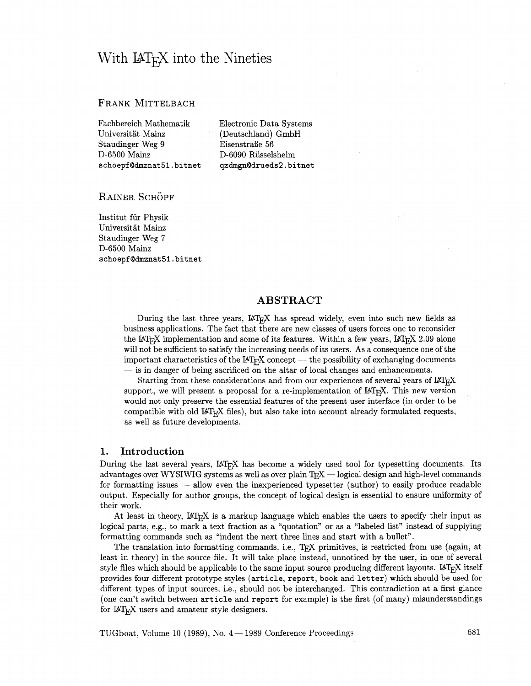# With  $\text{LATF}X$  into the Nineties

## FRANK MITTELBACH

Fachbereich Mathematik Electronic Data Systems Universitat Mainz (Deutschland) GmbH Staudinger Weg 9 Eisenstraße 56 D-6500 Mainz D-6090 Riisselsheim schoepf@dmznat51.bitnet qzdmgn@drueds2.bitnet

RAINER SCHÖPF

Institut fiir Physik Universität Mainz Staudinger Weg 7 D-6500 Mainz schoepf@dmznat51.bitnet

# **ABSTRACT**

During the last three years, LAT<sub>E</sub>X has spread widely, even into such new fields as business applications. The fact that there are new classes of users forces one to reconsider the LAT<sub>E</sub>X implementation and some of its features. Within a few years, LAT<sub>E</sub>X 2.09 alone will not be sufficient to satisfy the increasing needs of its users. As a consequence one of the ine Latex implementation and some of its leatures. Within a few years, Latex 2.09 alone<br>will not be sufficient to satisfy the increasing needs of its users. As a consequence one of the<br>important characteristics of the LAT m not be sunctent to satisfy the increasing needs of its disers. As a consequence one<br>important characteristics of the LAT<sub>E</sub>X concept — the possibility of exchanging docum<br>— is in danger of being sacrificed on the altar o

Starting from these considerations and from our experiences of several years of IATEX support, we will present a proposal for a re-implementation of  $\mathbb{M}$ <sub>F</sub>X. This new version would not only preserve the essential features of the present user interface (in order to be compatible with old  $\text{LipX}$  files), but also take into account already formulated requests, as well as future developments.

## **1. Introduction**

During the last several years, LAT<sub>EX</sub> has become a widely used tool for typesetting documents. Its advantages over WYSIWIG systems as well as over plain T<sub>E</sub>X  $-$  logical design and high-level commands for formatting issues  $-$  allow even the inexperienced typesetter (author) to easily produce readable output. Especially for author groups, the concept of logical design is essential to ensure uniformity of their work.

At least in theory,  $\mathbb{I}\mathrm{F}$ <sub>I</sub> $\mathbb{I}\mathrm{F}$  is a markup language which enables the users to specify their input as logical parts, e.g., to mark a text fraction as a "quotation" or as a "labeled list" instead of supplying formatting commands such as "indent the next three lines and start with a bullet".

The translation into formatting commands, i.e., TEX primitives, is restricted from use (again, at least in theory) in the source file. It will take place instead, unnoticed by the user, in one of several style files which should be applicable to the same input source producing different layouts.  $\mathbb{F}_F X$  itself provides four different prototype styles (article, report, book and letter) which should be used for different types of input sources, i.e., should not be interchanged. This contradiction at a first glance (one can't switch between article and report for example) is the first (of many) misunderstandings for  $\mathbb{1}T_{E}X$  users and amateur style designers.

TUGboat, Volume 10 (1989), No. 4 – 1989 Conference Proceedings 681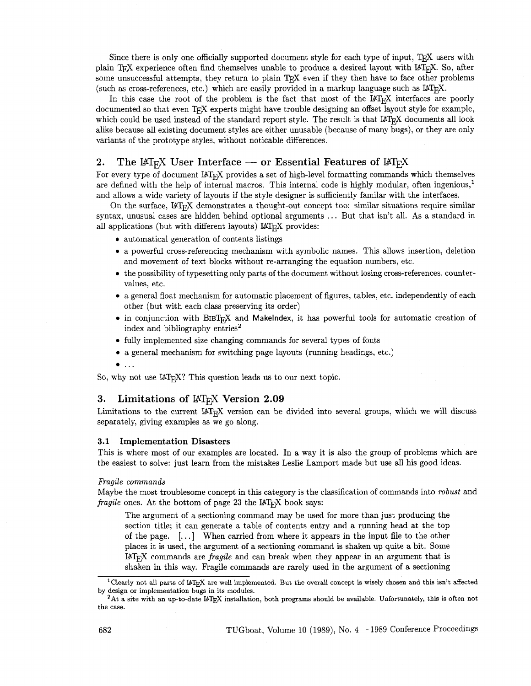Since there is only one officially supported document style for each type of input, TFX users with plain TEX experience often find themselves unable to produce a desired layout with LATEX. So, after some unsuccessful attempts, they return to plain TFX even if they then have to face other problems (such as cross-references, etc.) which are easily provided in a markup language such **as** LATEX.

In this case the root of the problem is the fact that most of the IAT<sub>R</sub>X interfaces are poorly documented so that even TEX experts might have trouble designing an offset layout style for example, which could be used instead of the standard report style. The result is that LAT<sub>E</sub>X documents all look alike because all existing document styles are either unusable (because of many bugs), or they are only variants of the prototype styles, without noticable differences.

# 2. The  $\text{LFT}_{\text{F}}$ X User Interface — or Essential Features of  $\text{LFT}_{\text{F}}$ X

For every type of document  $\mathbb{F}$ <sub>TF</sub>X provides a set of high-level formatting commands which themselves are defined with the help of internal macros. This internal code is highly modular, often ingenious,' and allows a wide variety of layouts if the style designer is sufficiently familar with the interfaces.

On the surface, UTEX demonstrates a thought-out concept too: similar situations require similar syntax, unusual cases are hidden behind optional arguments ... But that isn't all. As a standard in all applications (but with different layouts)  $\text{LAT} \times \text{p}$  provides:

- automatical generation of contents listings
- a powerful cross-referencing mechanism with symbolic names. This allows insertion, deletion and movement of text blocks without re-arranging the equation numbers, etc.
- the possibility of typesetting only parts of the document without losing cross-references, countervalues, etc.
- a general float mechanism for automatic placement of figures, tables, etc. independently of each other (but with each class preserving its order)
- in conjunction with BIBT<sub>R</sub>X and Makelndex, it has powerful tools for automatic creation of index and bibliography entries<sup>2</sup>
- fully implemented size changing commands for several types of fonts
- a general mechanism for switching page layouts (running headings, etc.)
- $\bullet$  ...

So, why not use IATEX? This question leads us to our next topic.

## **3.** Limitations of IAT<sub>E</sub>X Version 2.09

Limitations to the current LAT<sub>F</sub>X version can be divided into several groups, which we will discuss separately, giving examples as we go along.

#### 3.1 Implementation Disasters

This is where most of our examples are located. In a way it is also the group of problems which are the easiest to solve: just learn from the mistakes Leslie Lamport made but use all his good ideas.

## *Fragile commands*

Maybe the most troublesome concept in this category is the classification of commands into *robust* and *fragile* ones. At the bottom of page 23 the LAT<sub>E</sub>X book says:

The argument of a sectioning command may be used for more than just producing the section title; it can generate a table of contents entry and a running head at the top of the page. [. . .] When carried from where it appears in the input file to the other places it is used, the argument of a sectioning command is shaken up quite a bit. Some UT\$ commands are *fragile* and can break when they appear in an argument that is shaken in this way. Fragile commands are rarely used in the argument of a sectioning

<sup>&</sup>lt;sup>1</sup> Clearly not all parts of LAT<sub>E</sub>X are well implemented. But the overall concept is wisely chosen and this isn't affected

by design or implementation bugs in its modules.<br><sup>2</sup>At a site with an up-to-date L<sup>y</sup>T<sub>E</sub>X installation, both programs should be available. Unfortunately, this is often not the case.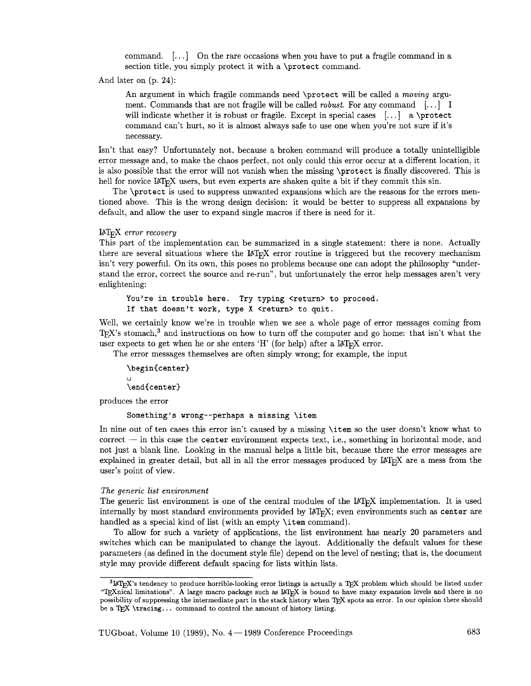command.  $[\dots]$  On the rare occasions when you have to put a fragile command in a section title, you simply protect it with a \protect command.

And later on (p. 24):

An argument in which fragile commands need \protect will be called a *moving* argument. Commands that are not fragile will be called *robust.* For any command [. . .] I will indicate whether it is robust or fragile. Except in special cases  $[\dots]$  a \protect command can't hurt, so it is almost always safe to use one when you're not sure if it's necessary.

Isn't that easy? Unfortunately not, because a broken command will produce a totally unintelligible error message and, to make the chaos perfect, not only could this error occur at a different location, it is also possible that the error will not vanish when the missing \protect is finally discovered. This is hell for novice IAT<sub>E</sub>X users, but even experts are shaken quite a bit if they commit this sin.

The \protect is used to suppress unwanted expansions which are the reasons for the errors mentioned above. This is the wrong design decision: it would be better to suppress all expansions by default, and allow the user to expand single macros if there is need for it.

#### UTEX *error recovery*

This part of the implementation can be summarized in a single statement: there is none. Actually there are several situations where the  $\mathbb{A}T_F X$  error routine is triggered but the recovery mechanism isn't very powerful. On its own, this poses no problems because one can adopt the philosophy "understand the error, correct the source and re-run", but unfortunately the error help messages aren't very enlightening:

You're in trouble here. Try typing <return> to proceed. If that doesn't work, type X <return> to quit.

Well, we certainly know we're in trouble when we see a whole page of error messages coming from TEX's stomach,<sup>3</sup> and instructions on how to turn off the computer and go home: that isn't what the user expects to get when he or she enters 'H' (for help) after a  $\text{LATF}X$  error.

The error messages themselves are often simply wrong; for example, the input

\begin{center}

\end{center}

produces the error

#### Something's wrong--perhaps a missing \item

In nine out of ten cases this error isn't caused by a missing \item so the user doesn't know what to  $correct - in this case the center environment expects text, i.e., something in horizontal mode, and$ not just a blank line. Looking in the manual helps a little bit, because there the error messages are explained in greater detail, but all in all the error messages produced by  $LAT$ <sub>F</sub>X are a mess from the user's point of view.

#### *The generic list environment*

The generic list environment is one of the central modules of the  $LAT_{F}X$  implementation. It is used internally by most standard environments provided by  $LAT<sub>F</sub>X$ ; even environments such as center are handled as a special kind of list (with an empty \item command).

To allow for such a variety of applications, the list environment has nearly 20 parameters and switches which can be manipulated to change the layout. Additionally the default values for these parameters (as defined in the document style file) depend on the level of nesting; that is, the document style may provide different default spacing for lists within lists.

 ${}^{3}L_{\text{F}}$ X's tendency to produce horrible-looking error listings is actually a T<sub>EX</sub> problem which should be listed under "Wnical limitations". **A** large macro package such **as UT\$** is bound to have many expansion levels and there is no possibility of suppressing the intermediate part in the stack history when TEX spots an error. In our opinion there should be a TEX \tracing... command to control the amount of history listing.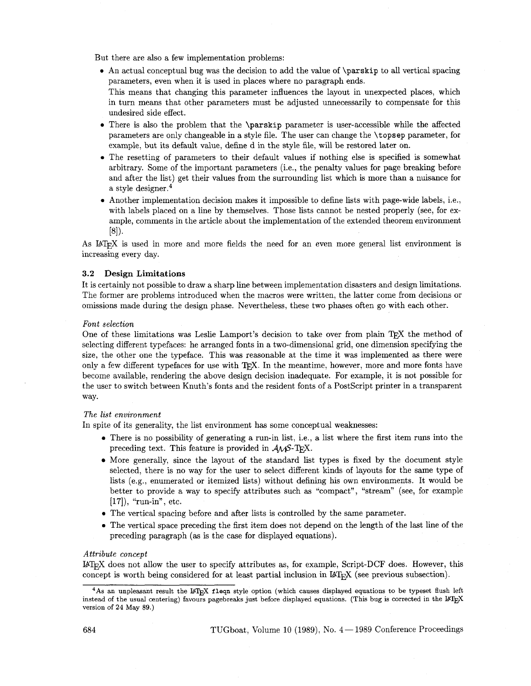But there are also a few implementation problems:

- An actual conceptual bug was the decision to add the value of \parskip to all vertical spacing parameters, even when it is used in places where no paragraph ends. This means that changing this parameter influences the layout in unexpected places, which in turn means that other parameters must be adjusted unnecessarily to compensate for this undesired side effect.
- There is also the problem that the **\parskip** parameter is user-accessible while the affected parameters are only changeable in a style file. The user can change the \topsep parameter, for example, but its default value, define d in the style file, will be restored later on.
- The resetting of parameters to their default values if nothing else is specified is somewhat arbitrary. Some of the important parameters (i.e., the penalty values for page breaking before and after the list) get their values from the surrounding list which is more than a nuisance for a style designer. $4$
- Another implementation decision makes it impossible to define lists with page-wide labels, i.e., with labels placed on a line by themselves. Those lists cannot be nested properly (see, for example, comments in the article about the implementation of the extended theorem environment  $[8]$ .

As IAT<sub>R</sub>X is used in more and more fields the need for an even more general list environment is increasing every day.

#### 3.2 Design Limitations

It is certainly not possible to draw a sharp line between implementation disasters and design limitations. The former are problems introduced when the macros were written, the latter come from decisions or omissions made during the design phase. Nevertheless, these two phases often go with each other.

### *Font selection*

One of these limitations was Leslie Lamport's decision to take over from plain TFX the method of selecting different typefaces: he arranged fonts in a two-dimensional grid, one dimension specifying the size, the other one the typeface. This was reasonable at the time it was implemented as there were only a few different typefaces for use with  $T_{\rm F}X$ . In the meantime, however, more and more fonts have become available, rendering the above design decision inadequate. For example, it is not possible for the user to switch between Knuth's fonts and the resident fonts of a Postscript printer in a transparent way.

## *The list environment*

In spite of its generality, the list environment has some conceptual weaknesses:

- 0 There is no possibility of generating a run-in list, i.e., a list where the first item runs into the preceding text. This feature is provided in  $A\mathcal{M}S$ -T<sub>F</sub>X.
- More generally, since the layout of the standard list types is fixed by the document style selected, there is no way for the user to select different kinds of layouts for the same type of lists (e.g., enumerated or itemized lists) without defining his own environments. It would be better to provide a way to speclfy attributes such as "compact", "stream" (see, for example [17]), "run-in", etc.
- **0** The vertical spacing before and after lists is controlled by the same parameter.
- **0** The vertical space preceding the first item does not depend on the length of the last line of the preceding paragraph (as is the case for displayed equations).

## *Attribute concept*

 $IAT<sub>F</sub>X$  does not allow the user to specify attributes as, for example, Script-DCF does. However, this concept is worth being considered for at least partial inclusion in  $I\llap{/}\Gamma_{\rm F}X$  (see previous subsection).

<sup>&</sup>lt;sup>4</sup>As an unpleasant result the L<sup>A</sup>T<sub>E</sub>X fleqn style option (which causes displayed equations to be typeset flush left instead of the usual centering) favours pagebreaks just before displayed equations. (This bug is corrected in the IAT<sub>E</sub>X version of 24 May 89.)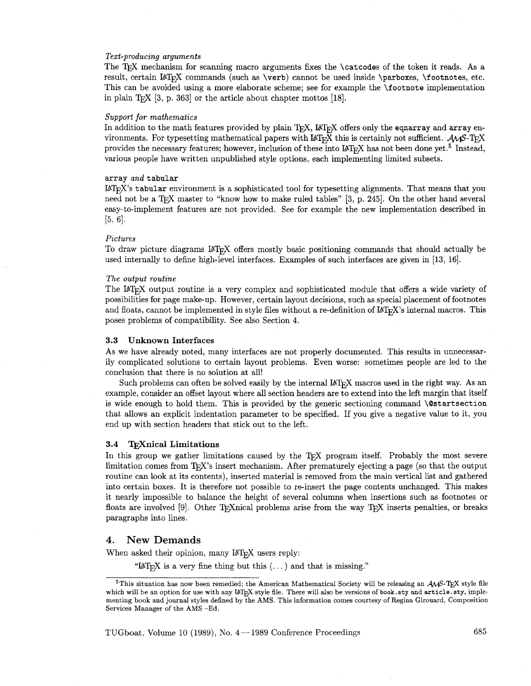#### *Text-producing arguments*

The TEX mechanism for scanning macro arguments fixes the \catcodes of the token it reads. As a result, certain  $\Delta$  commands (such as \verb) cannot be used inside \parboxes, \footnotes, etc. This can be avoided using a more elaborate scheme; see for example the \footnote implementation in plain T<sub>E</sub>X [3, p. 363] or the article about chapter mottos [18].

#### *Support for mathematics*

In addition to the math features provided by plain  $T_{E}X$ ,  $M_{T}X$  offers only the eqnarray and array environments. For typesetting mathematical papers with  $\text{LATEX}$  this is certainly not sufficient.  $\mathcal{A}\mathcal{A}\mathcal{S}$ -T<sub>E</sub>X provides the necessary features; however, inclusion of these into  $\text{LFT}_F X$  has not been done yet.<sup>5</sup> Instead, various people have written unpublished style options, each implementing limited subsets.

#### array *and* tabular

 $\mu_{\text{L}}$  is tabular environment is a sophisticated tool for typesetting alignments. That means that you need not be a T<sub>R</sub>X master to "know how to make ruled tables" [3, p. 245]. On the other hand several easy-to-implement features are not provided. See for example the new implementation described in  $[5, 6].$ 

#### *Pictures*

To draw picture diagrams LAT<sub>E</sub>X offers mostly basic positioning commands that should actually be used internally to define high-level interfaces. Examples of such interfaces are given in [13, 16].

#### *The output routine*

The LAT<sub>EX</sub> output routine is a very complex and sophisticated module that offers a wide variety of possibilities for page make-up. However, certain layout decisions, such as special placement of footnotes and floats, cannot be implemented in style files without a re-definition of  $\mathbb{F}T_FX$ 's internal macros. This poses problems of compatibility. See also Section 4.

#### **3.3 Unknown Interfaces**

As we have already noted, many interfaces are not properly documented. This results in unnecessarily complicated solutions to certain layout problems. Even worse: sometimes people are led to the conclusion that there is no solution at all!

Such problems can often be solved easily by the internal  $I\llap{/}T$ <sub>EX</sub> macros used in the right way. As an example, consider an offset layout where all section headers are to extend into the left margin that itself is wide enough to hold them. This is provided by the generic sectioning command \@startsection that allows an explicit indentation parameter to be specified. If you give a negative value to it, you end up with section headers that stick out to the left.

#### **3.4 wnical Limitations**

In this group we gather limitations caused by the T<sub>FX</sub> program itself. Probably the most severe limitation comes from T<sub>E</sub>X's insert mechanism. After prematurely ejecting a page (so that the output routine can look at its contents), inserted material is removed from the main vertical list and gathered into certain boxes. It is therefore not possible to re-insert the page contents unchanged. This makes it nearly impossible to balance the height of several columns when insertions such as footnotes or floats are involved [9]. Other T<sub>E</sub>Xnical problems arise from the way T<sub>E</sub>X inserts penalties, or breaks paragraphs into lines.

#### 4. New **Demands**

When asked their opinion, many IATEX users reply:

"LAT<sub>E</sub>X is a very fine thing but this  $(\dots)$  and that is missing."

TUGboat, Volume 10 (1989), No.  $4-1989$  Conference Proceedings 685

<sup>&</sup>lt;sup>5</sup>This situation has now been remedied; the American Mathematical Society will be releasing an  $A\mathcal{M}S$ -T<sub>F</sub>X style file which will be an option for use with any LAT<sub>E</sub>X style file. There will also be versions of book.sty and article.sty, implementing book and journal styles defined by the AMS. This information comes courtesy of Regina Girouard, Composition Services Manager of the AMS -Ed.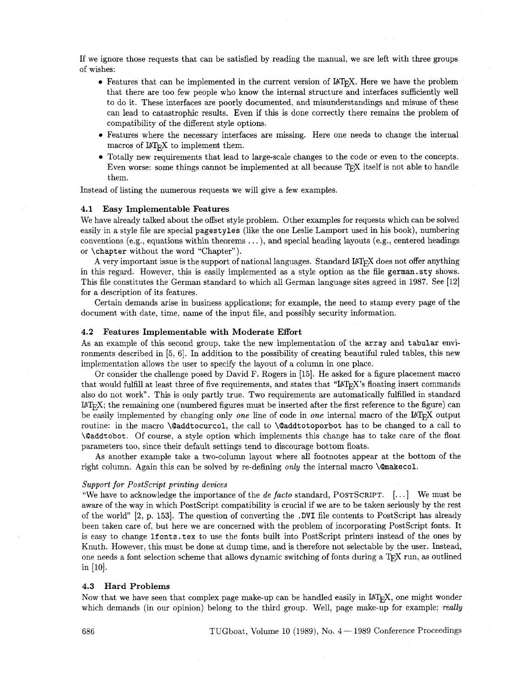If we ignore those requests that can be satisfied by reading the manual, we are left with three groups of wishes:

- Features that can be implemented in the current version of LAT<sub>E</sub>X. Here we have the problem that there are too few people who know the internal structure and interfaces sufficiently well to do it. These interfaces are poorly documented, and misunderstandings and misuse of these can lead to catastrophic results. Even if this is done correctly there remains the problem of compatibility of the different style options.
- **0** Features where the necessary interfaces are missing. Here one needs to change the internal macros of  $M_{\text{F}}X$  to implement them.
- Totally new requirements that lead to large-scale changes to the code or even to the concepts. Even worse: some things cannot be implemented at all because T<sub>F</sub>X itself is not able to handle them.

Instead of listing the numerous requests we will give a few examples.

## **4.1 Easy Implementable Features**

We have already talked about the offset style problem. Other examples for requests which can be solved easily in a style file are special **pagestyles** (like the one Leslie Lamport used in his book), numbering conventions (e.g., equations within theorems  $\dots$  ), and special heading layouts (e.g., centered headings or **\chapter** without the word "Chapter").

A very important issue is the support of national languages. Standard LAT<sub>Fi</sub>X does not offer anything in this regard. However, this is easily implemented as a style option as the file **german.sty** shows. This file constitutes the German standard to which all German language sites agreed in 1987. See [12] for a description of its features.

Certain demands arise in business applications; for example, the need to stamp every page of the document with date, time, name of the input file, and possibly security information.

#### **4.2 Features Implementable with Moderate Effort**

As an example of this second group, take the new implementation of the **array** and **tabular** environments described in  $[5, 6]$ . In addition to the possibility of creating beautiful ruled tables, this new implementation allows the user to specify the layout of a column in one place.

Or consider the challenge posed by David F. Rogers in [15]. He asked for a figure placement macro that would fulfill at least three of five requirements, and states that " $\rm{I4T_KX}$ 's floating insert commands also do not work". This is only partly true. Two requirements are automatically fulfilled in standard  $\mu_{\text{L}}(X; \theta)$  is the remaining one (numbered figures must be inserted after the first reference to the figure) can be easily implemented by changing only *one* line of code in *one* internal macro of the L<sup>N</sup>T<sub>E</sub>X output routine: in the macro **\Qaddtocurcol,** the call to **\Oaddtotoporbot** has to be changed to a call to **\Oaddtobot.** Of course, a style option which implements this change has to take care of the float parameters too, since their default settings tend to discourage bottom floats.

As another example take a two-column layout where all footnotes appear at the bottom of the right column. Again this can be solved by re-defining *only* the internal macro **\@makecol.** 

#### *Support for Postscript printing devices*

"We have to acknowledge the importance of the *de facto* standard, POSTSCRIPT. [. . .] We must be aware of the way in which PostScript compatibility is crucial if we are to be taken seriously by the rest of the world" [2, p. 1531. The question of converting the **.DVI** file contents to Postscript has already been taken care of, but here we are concerned with the problem of incorporating PostScript fonts. It is easy to change **lfonts. tex** to use the fonts built into Postscript printers instead of the ones by Knuth. However, this must be done at dump time, and is therefore not selectable by the user. Instead, one needs a font selection scheme that allows dynamic switching of fonts during a TEX run, as outlined in [lo].

## **4.3 Hard Problems**

Now that we have seen that complex page make-up can be handled easily in  $\mathbb{F}(\mathbb{F}_K)$ , one might wonder which demands (in our opinion) belong to the third group. Well, page make-up for example; *really*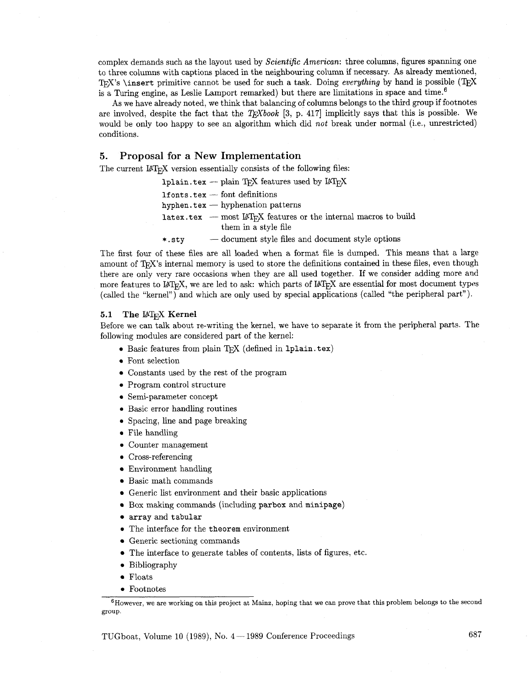complex demands such as the layout used by Scientific American: three columns, figures spanning one to three columns with captions placed in the neighbouring column if necessary. As already mentioned, T<sub>F</sub>X's \insert primitive cannot be used for such a task. Doing *everything* by hand is possible (TFX is a Turing engine, as Leslie Lamport remarked) but there are limitations in space and time.<sup>6</sup>

As we have already noted, we think that balancing of columns belongs to the third group if footnotes are involved, despite the fact that the  $T_F X book$  [3, p. 417] implicitly says that this is possible. We would be only too happy to see an algorithm which did not break under normal (i.e., unrestricted) conditions.

## **5.** Proposal for a New Implementation

The current  $\text{LipX}$  version essentially consists of the following files:

- X version essentially consists of the following files<br> $1$ plain. tex -- plain T<sub>E</sub>X features used by  $14T_{\rm E}$ X **Iplain.tex** - plain T<sub>E</sub>X featu<br>1fonts.tex - font definitions
- 
- $1$ fonts. tex  $-$  font definitions<br>hyphen. tex  $-$  hyphenation patterns
- $1$ atex.tex most  $\text{LFT}_F X$  features or the internal macros to build them in a style file
- \*.sty document style files and document style options

The first four of these files are all loaded when a format file is dumped. This means that a large amount of TFX's internal memory is used to store the definitions contained in these files, even though there are only very rare occasions when they are all used together. If we consider adding more and more features to  $\text{LipX}$ , we are led to ask: which parts of  $\text{LipX}$  are essential for most document types (called the "kernel") and which are only used by special applications (called "the peripheral part").

## 5.1 The L<sup>I</sup>F<sub>K</sub>X Kernel

Before we can talk about re-writing the kernel, we have to separate it from the peripheral parts. The following modules are considered part of the kernel:

- **Basic features from plain TFX** (defined in 1plain.tex)
- **0** Font selection
- Constants used by the rest of the program
- **0** Program control structure
- **0** Semi-parameter concept
- **0** Basic error handling routines
- **0** Spacing, line and page breaking
- **0** File handling
- **0** Counter management
- **0** Cross-referencing
- Environment handling
- Basic math commands
- Generic list environment and their basic applications
- Box making commands (including parbox and minipage)
- array and tabular
- The interface for the theorem environment
- Generic sectioning commands
- The interface to generate tables of contents, lists of figures, etc.
- **0** Bibliography
- Floats
- **0** Footnotes

ne ow ever, we are working on this project at Mainz, hoping that **we** can prove that this problem belongs to the second group.

TUGboat, Volume 10 (1989), No.  $4-1989$  Conference Proceedings 687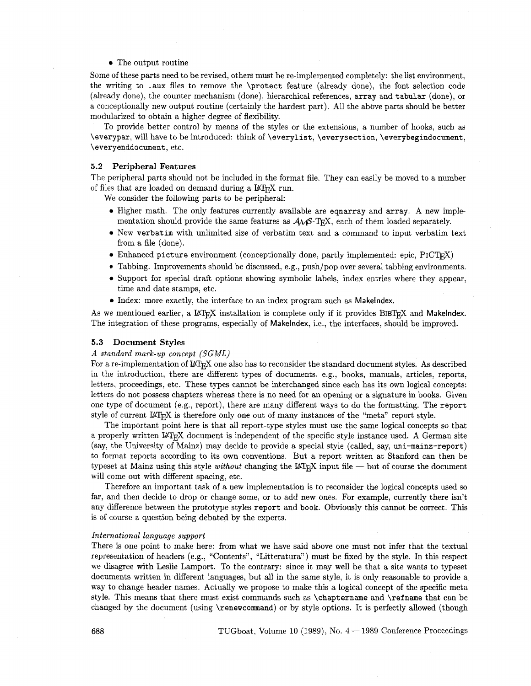## • The output routine

Some of these parts need to be revised, others must be re-implemented completely: the list environment, the writing to .aux files to remove the \protect feature (already done), the font selection code (already done), the counter mechanism (done), hierarchical references, array and tabular (done), or a conceptionally new output routine (certainly the hardest part). All the above parts should be better modularized to obtain a higher degree of flexibility.

To provide better control by means of the styles or the extensions, a number of hooks, such as \everypar, will have to be introduced: think of \everylist, \everysection, \everybegindocument, \everyenddocument, etc.

#### **5.2 Peripheral Features**

The peripheral parts should not be included in the format file. They can easily be moved to a number of files that are loaded on demand during a  $\text{LFT}_\text{F} X$  run.

We consider the following parts to be peripheral:

- Higher math. The only features currently available are eqnarray and array. A new implementation should provide the same features as  $A\mathcal{W}S$ -TFX, each of them loaded separately.
- New verbatim with unlimited size of verbatim text and a command to input verbatim text from a file (done).
- Enhanced picture environment (conceptionally done, partly implemented: epic, PICTEX)
- **e** Tabbing. Improvements should be discussed, e.g., push/pop over several tabbing environments.
- Support for special draft options showing symbolic labels, index entries where they appear, time and date stamps, etc.
- $\bullet$  Index: more exactly, the interface to an index program such as Makelndex.

As we mentioned earlier, a  $\mathbb{A}$ T<sub>F</sub>X installation is complete only if it provides BIBT<sub>F</sub>X and Makelndex. The integration of these programs, especially of Makelndex, i.e., the interfaces, should be improved.

#### **5.3 Document Styles**

#### **A** *standard mark-up concept (SGML)*

For a re-implementation of IAT<sub>EX</sub> one also has to reconsider the standard document styles. As described in the introduction, there are different types of documents, e.g., books, manuals, articles, reports, letters, proceedings, etc. These types cannot be interchanged since each has its own logical concepts: letters do not possess chapters whereas there is no need for an opening or a signature in books. Given one type of document (e.g., report), there are many different ways to do the formatting. The report style of current  $IAT_FX$  is therefore only one out of many instances of the "meta" report style.

The important point here is that all report-type styles must use the same logical concepts so that a properly written LAT<sub>R</sub>X document is independent of the specific style instance used. A German site (say, the University of Mainz) may decide to provide a special style (called, say, mi-mainz-report) to format reports according to its own conventions. But a report written at Stanford can then be typeset at Mainz using this style *without* changing the LAT<sub>E</sub>X input file - but of course the document will come out with different spacing, etc.

Therefore an important task of a new implementation is to reconsider the logical concepts used so far, and then decide to drop or change some, or to add new ones. For example, currently there isn't any difference between the prototype styles report and book. Obviously this cannot be correct. This is of course a question being debated by the experts.

## *International language support*

There is one point to make here: from what we have said above one must not infer that the textual representation of headers (eg, "Contents", "Litteratura") must be fixed by the style. In this respect we disagree with Leslie Lamport. To the contrary: since it may well be that a site wants to typeset documents written in different languages, but all in the same style, it is only reasonable to provide a way to change header names. Actually we propose to make this a logical concept of the specific meta style. This means that there must exist commands such **as** \chaptername and \refname that can be changed by the document (using \renewcommand) or by style options. It is perfectly allowed (though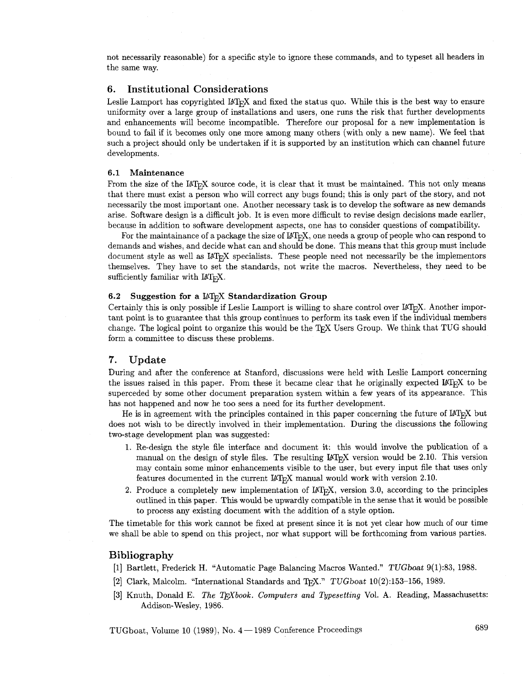not necessarily reasonable) for a specific style to ignore these commands, and to typeset all headers in the same way.

## **6. Institutional Considerations**

Leslie Lamport has copyrighted  $IAT$ <sub>E</sub>X and fixed the status quo. While this is the best way to ensure uniformity over a large group of installations and users, one runs the risk that further developments and enhancements will become incompatible. Therefore our proposal for a new implementation is bound to fail if it becomes only one more among many others (with only a new name). We feel that such a project should only be undertaken if it is supported by an institution which can channel future developments.

#### 6.1 **Maintenance**

From the size of the IAT<sub>R</sub>X source code, it is clear that it must be maintained. This not only means that there must exist a person who will correct any bugs found; this is only part of the story, and not necessarily the most important one. Another necessary task is to develop the software as new demands arise. Software design is a difficult job. It is even more difficult to revise design decisions made earlier, because in addition to software development aspects, one has to consider questions of compatibility.

For the maintainance of a package the size of  $\mathbb{A}T<sub>F</sub>X$ , one needs a group of people who can respond to demands and wishes, and decide what can and should be done. This means that this group must include document style as well as IAT<sub>E</sub>X specialists. These people need not necessarily be the implementors themselves. They have to set the standards, not write the macros. Nevertheless, they need to be sufficiently familiar with  $IAT<sub>F</sub>X$ .

## **6.2 Suggestion for a LAT<sub>F</sub>X Standardization Group**

Certainly this is only possible if Leslie Lamport is willing to share control over  $L\mathbb{F}_T X$ . Another important point is to guarantee that this group continues to perform its task even if the individual members change. The logical point to organize this would be the TFX Users Group. We think that TUG should form a committee to discuss these problems.

# **7. Update**

During and after the conference at Stanford, discussions were held with Leslie Lamport concerning the issues raised in this paper. From these it became clear that he originally expected  $\mathbb{F}$ <sub>F/</sub>X to be superceded by some other document preparation system within a few years of its appearance. This has not happened and now he too sees a need for its further development.

He is in agreement with the principles contained in this paper concerning the future of  $\mathbb{A}T_{F}X$  but does not wish to be directly involved in their implementation. During the discussions the following two-stage development plan was suggested:

- 1. Re-design the style file interface and document it: this would involve the publication of a manual on the design of style files. The resulting  $\text{LipX}$  version would be 2.10. This version may contain some minor enhancements visible to the user, but every input file that uses only features documented in the current  $\mathbb{M}$ <sub>F</sub>X manual would work with version 2.10.
- 2. Produce a completely new implementation of  $L\llbracket A T \rrbracket X$ , version 3.0, according to the principles outlined in this paper. This would be upwardly compatible in the sense that it would be possible to process any existing document with the addition of a style option.

The timetable for this work cannot be fixed at present since it is not yet clear how much of our time we shall be able to spend on this project, nor what support will be forthcoming from various parties.

## **Bibliography**

- [l] Bartlett, Frederick H. "Automatic Page Balancing Macros Wanted." TUGboat 9(1):83, 1988.
- [2] Clark, Malcolm. "International Standards and TFX."  $TUGboot 10(2):153-156$ , 1989.
- [3] Knuth, Donald E. The T<sub>F</sub>Xbook. Computers and Typesetting Vol. A. Reading, Massachusetts: Addison- Wesley, 1986.

TUGboat, Volume 10 (1989), No.  $4-1989$  Conference Proceedings 689